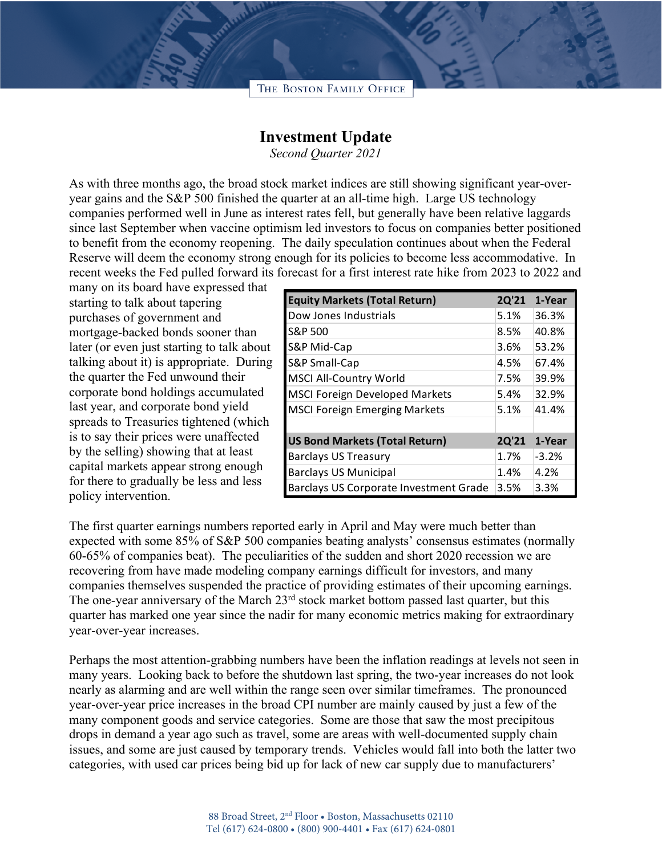## THE BOSTON FAMILY OFFICE

## **Investment Update**

*Second Quarter 2021*

As with three months ago, the broad stock market indices are still showing significant year-overyear gains and the S&P 500 finished the quarter at an all-time high. Large US technology companies performed well in June as interest rates fell, but generally have been relative laggards since last September when vaccine optimism led investors to focus on companies better positioned to benefit from the economy reopening. The daily speculation continues about when the Federal Reserve will deem the economy strong enough for its policies to become less accommodative. In recent weeks the Fed pulled forward its forecast for a first interest rate hike from 2023 to 2022 and

many on its board have expressed that starting to talk about tapering purchases of government and mortgage-backed bonds sooner than later (or even just starting to talk about talking about it) is appropriate. During the quarter the Fed unwound their corporate bond holdings accumulated last year, and corporate bond yield spreads to Treasuries tightened (which is to say their prices were unaffected by the selling) showing that at least capital markets appear strong enough for there to gradually be less and less policy intervention.

| <b>Equity Markets (Total Return)</b>   | 2Q'21 | 1-Year  |
|----------------------------------------|-------|---------|
| Dow Jones Industrials                  | 5.1%  | 36.3%   |
| S&P 500                                | 8.5%  | 40.8%   |
| S&P Mid-Cap                            | 3.6%  | 53.2%   |
| S&P Small-Cap                          | 4.5%  | 67.4%   |
| <b>MSCI All-Country World</b>          | 7.5%  | 39.9%   |
| <b>MSCI Foreign Developed Markets</b>  | 5.4%  | 32.9%   |
| <b>MSCI Foreign Emerging Markets</b>   | 5.1%  | 41.4%   |
|                                        |       |         |
| <b>US Bond Markets (Total Return)</b>  | 2Q'21 | 1-Year  |
| Barclays US Treasury                   | 1.7%  | $-3.2%$ |
| <b>Barclays US Municipal</b>           | 1.4%  | 4.2%    |
| Barclays US Corporate Investment Grade | 3.5%  | 3.3%    |

The first quarter earnings numbers reported early in April and May were much better than expected with some 85% of S&P 500 companies beating analysts' consensus estimates (normally 60-65% of companies beat). The peculiarities of the sudden and short 2020 recession we are recovering from have made modeling company earnings difficult for investors, and many companies themselves suspended the practice of providing estimates of their upcoming earnings. The one-year anniversary of the March 23<sup>rd</sup> stock market bottom passed last quarter, but this quarter has marked one year since the nadir for many economic metrics making for extraordinary year-over-year increases.

Perhaps the most attention-grabbing numbers have been the inflation readings at levels not seen in many years. Looking back to before the shutdown last spring, the two-year increases do not look nearly as alarming and are well within the range seen over similar timeframes. The pronounced year-over-year price increases in the broad CPI number are mainly caused by just a few of the many component goods and service categories. Some are those that saw the most precipitous drops in demand a year ago such as travel, some are areas with well-documented supply chain issues, and some are just caused by temporary trends. Vehicles would fall into both the latter two categories, with used car prices being bid up for lack of new car supply due to manufacturers'